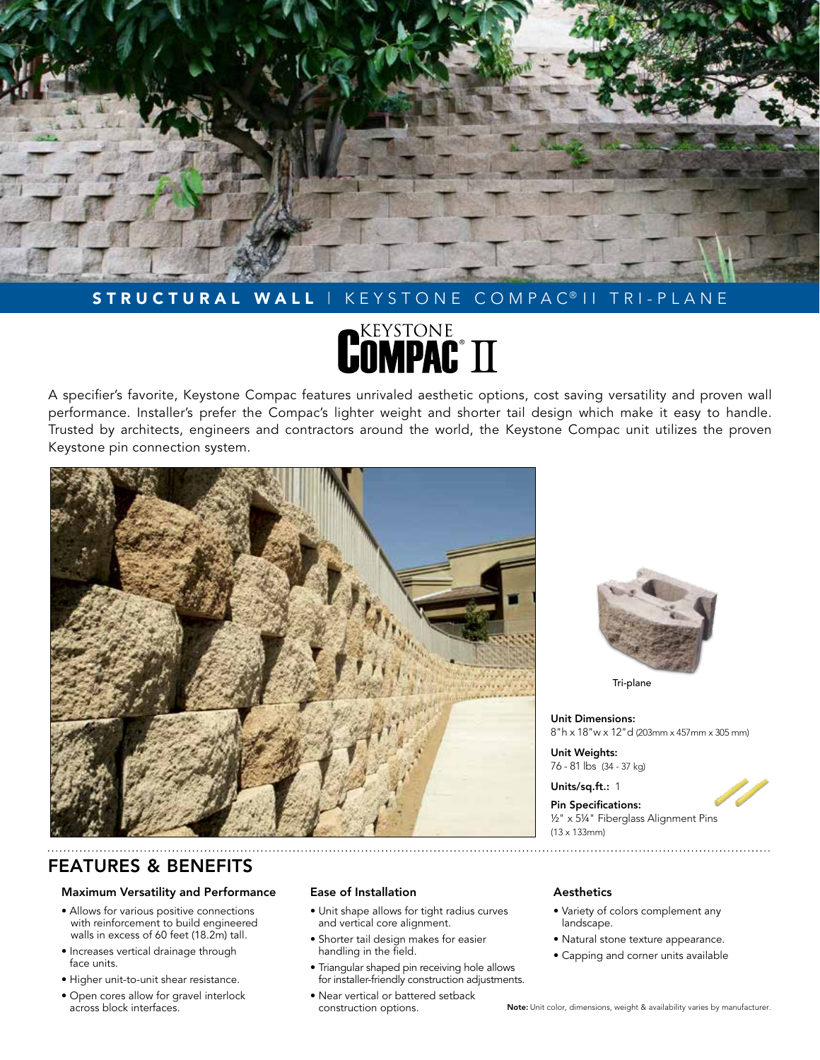

# STRUCTURAL WALL | KEYSTONE COMPAC<sup>®</sup> | | TRI-PLANE

# **REXSTONE** TT

A specifier's favorite, Keystone Compac features unrivaled aesthetic options, cost saving versatility and proven wall performance. Installer's prefer the Compac's lighter weight and shorter tail design which make it easy to handle. Trusted by architects, engineers and contractors around the world, the Keystone Compac unit utilizes the proven Keystone pin connection system.



Tri-plane

Unit Dimensions: 8"h x 18"w x 12"d (203mm x 457mm x 305 mm)

Unit Weights: 76 - 81 lbs (34 - 37 kg)

Units/sq.ft.: 1

Pin Specifications: ½" x 5¼" Fiberglass Alignment Pins (13 x 133mm)

# FEATURES & BENEFITS

# Maximum Versatility and Performance

- Allows for various positive connections with reinforcement to build engineered walls in excess of 60 feet (18.2m) tall.
- Increases vertical drainage through face units.
- Higher unit-to-unit shear resistance.
- Open cores allow for gravel interlock across block interfaces.

# Ease of Installation

- Unit shape allows for tight radius curves and vertical core alignment.
- Shorter tail design makes for easier handling in the field.
- Triangular shaped pin receiving hole allows for installer-friendly construction adjustments.
- Near vertical or battered setback construction options.

## Aesthetics

- Variety of colors complement any landscape.
- Natural stone texture appearance.
- Capping and corner units available